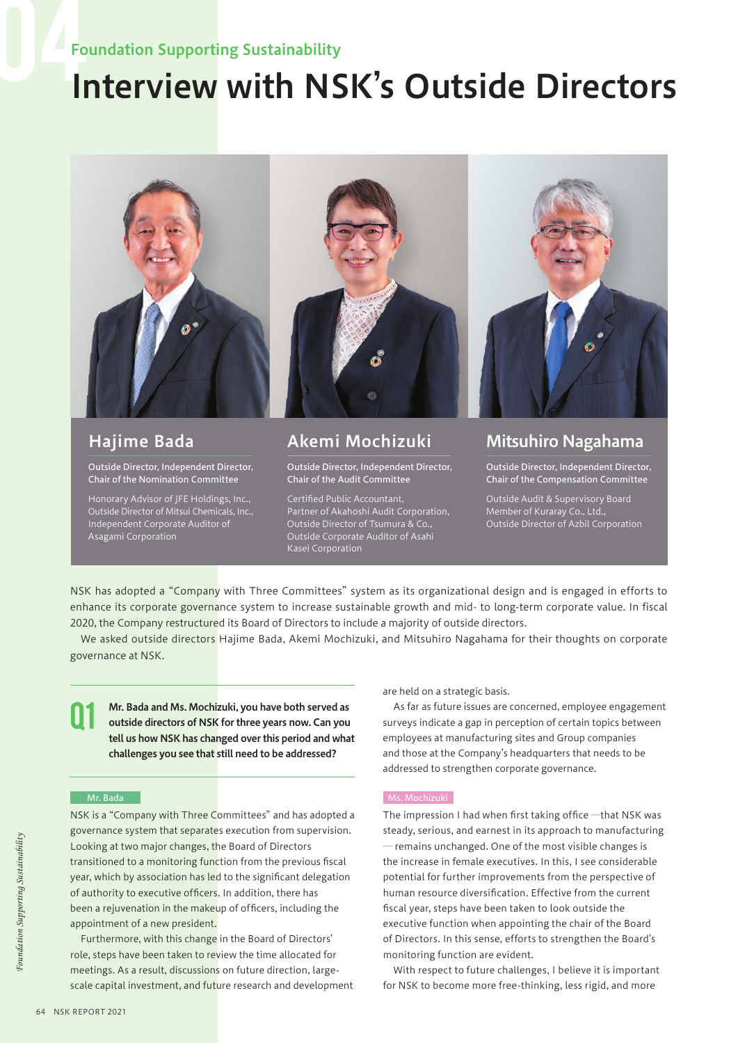## Foundation Supporting Sustainability

# Interview with NSK's Outside Directors



## Hajime Bada

Outside Director, Independent Director, Chair of the Nomination Committee

Honorary Advisor of JFE Holdings, Inc., Outside Director of Mitsui Chemicals, Inc., Independent Corporate Auditor of Asagami Corporation

## Akemi Mochizuki

Outside Director, Independent Director, Chair of the Audit Committee

Certified Public Accountant, Partner of Akahoshi Audit Corporation, Outside Director of Tsumura & Co., Outside Corporate Auditor of Asahi Kasei Corporation

## Mitsuhiro Nagahama

Outside Director, Independent Director, Chair of the Compensation Committee

Outside Audit & Supervisory Board Member of Kuraray Co., Ltd., Outside Director of Azbil Corporation

NSK has adopted a "Company with Three Committees" system as its organizational design and is engaged in efforts to enhance its corporate governance system to increase sustainable growth and mid- to long-term corporate value. In fiscal 2020, the Company restructured its Board of Directors to include a majority of outside directors.

We asked outside directors Hajime Bada, Akemi Mochizuki, and Mitsuhiro Nagahama for their thoughts on corporate governance at NSK.

Mr. Bada and Ms. Mochizuki, you have both served as outside directors of NSK for three years now. Can you tell us how NSK has changed over this period and what challenges you see that still need to be addressed? Q1

#### Mr. Bada

NSK is a "Company with Three Committees" and has adopted a governance system that separates execution from supervision. Looking at two major changes, the Board of Directors transitioned to a monitoring function from the previous fiscal year, which by association has led to the significant delegation of authority to executive officers. In addition, there has been a rejuvenation in the makeup of officers, including the appointment of a new president.

Furthermore, with this change in the Board of Directors' role, steps have been taken to review the time allocated for meetings. As a result, discussions on future direction, largescale capital investment, and future research and development are held on a strategic basis.

As far as future issues are concerned, employee engagement surveys indicate a gap in perception of certain topics between employees at manufacturing sites and Group companies and those at the Company's headquarters that needs to be addressed to strengthen corporate governance.

The impression I had when first taking office ―that NSK was steady, serious, and earnest in its approach to manufacturing ― remains unchanged. One of the most visible changes is the increase in female executives. In this, I see considerable potential for further improvements from the perspective of human resource diversification. Effective from the current fiscal year, steps have been taken to look outside the executive function when appointing the chair of the Board of Directors. In this sense, efforts to strengthen the Board's monitoring function are evident.

With respect to future challenges, I believe it is important for NSK to become more free-thinking, less rigid, and more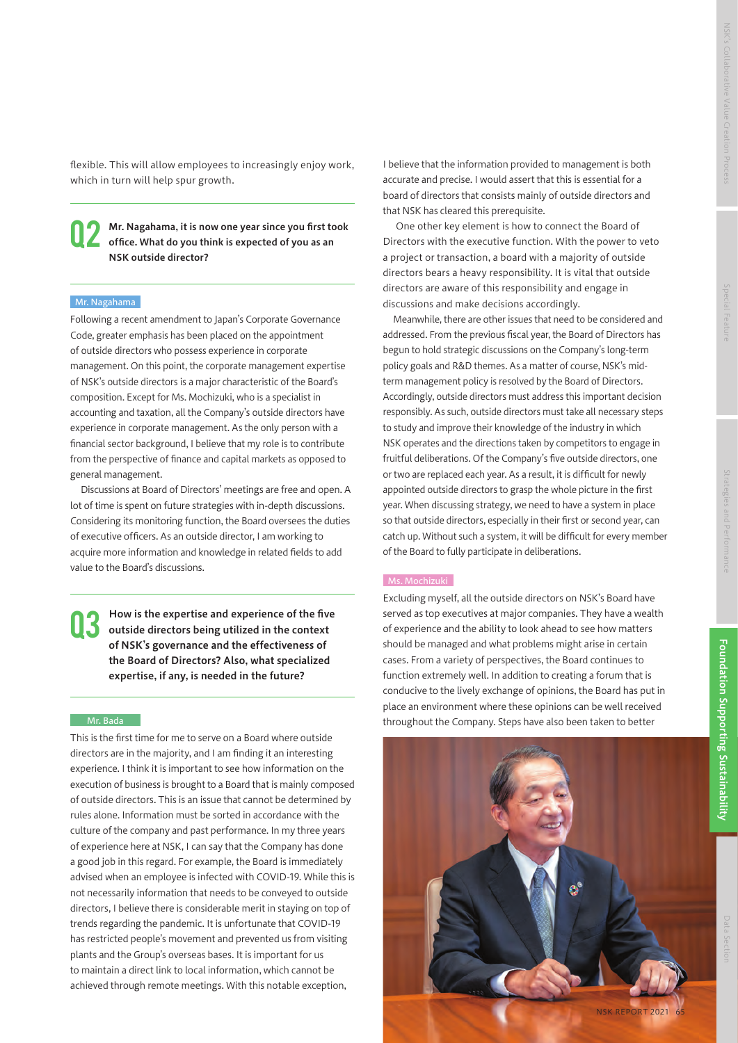flexible. This will allow employees to increasingly enjoy work, which in turn will help spur growth.

Mr. Nagahama, it is now one year since you first took office. What do you think is expected of you as an NSK outside director? Q2

#### Mr. Nagahama

Following a recent amendment to Japan's Corporate Governance Code, greater emphasis has been placed on the appointment of outside directors who possess experience in corporate management. On this point, the corporate management expertise of NSK's outside directors is a major characteristic of the Board's composition. Except for Ms. Mochizuki, who is a specialist in accounting and taxation, all the Company's outside directors have experience in corporate management. As the only person with a financial sector background, I believe that my role is to contribute from the perspective of finance and capital markets as opposed to general management.

Discussions at Board of Directors' meetings are free and open. A lot of time is spent on future strategies with in-depth discussions. Considering its monitoring function, the Board oversees the duties of executive officers. As an outside director, I am working to acquire more information and knowledge in related fields to add value to the Board's discussions.

How is the expertise and experience of the five outside directors being utilized in the context of NSK's governance and the effectiveness of the Board of Directors? Also, what specialized expertise, if any, is needed in the future? Q3

#### Mr. Bada

This is the first time for me to serve on a Board where outside directors are in the majority, and I am finding it an interesting experience. I think it is important to see how information on the execution of business is brought to a Board that is mainly composed of outside directors. This is an issue that cannot be determined by rules alone. Information must be sorted in accordance with the culture of the company and past performance. In my three years of experience here at NSK, I can say that the Company has done a good job in this regard. For example, the Board is immediately advised when an employee is infected with COVID-19. While this is not necessarily information that needs to be conveyed to outside directors, I believe there is considerable merit in staying on top of trends regarding the pandemic. It is unfortunate that COVID-19 has restricted people's movement and prevented us from visiting plants and the Group's overseas bases. It is important for us to maintain a direct link to local information, which cannot be achieved through remote meetings. With this notable exception,

I believe that the information provided to management is both accurate and precise. I would assert that this is essential for a board of directors that consists mainly of outside directors and that NSK has cleared this prerequisite.

 One other key element is how to connect the Board of Directors with the executive function. With the power to veto a project or transaction, a board with a majority of outside directors bears a heavy responsibility. It is vital that outside directors are aware of this responsibility and engage in discussions and make decisions accordingly.

Meanwhile, there are other issues that need to be considered and addressed. From the previous fiscal year, the Board of Directors has begun to hold strategic discussions on the Company's long-term policy goals and R&D themes. As a matter of course, NSK's midterm management policy is resolved by the Board of Directors. Accordingly, outside directors must address this important decision responsibly. As such, outside directors must take all necessary steps to study and improve their knowledge of the industry in which NSK operates and the directions taken by competitors to engage in fruitful deliberations. Of the Company's five outside directors, one or two are replaced each year. As a result, it is difficult for newly appointed outside directors to grasp the whole picture in the first year. When discussing strategy, we need to have a system in place so that outside directors, especially in their first or second year, can catch up. Without such a system, it will be difficult for every member of the Board to fully participate in deliberations.

#### Ms. Mochizuki

Excluding myself, all the outside directors on NSK's Board have served as top executives at major companies. They have a wealth of experience and the ability to look ahead to see how matters should be managed and what problems might arise in certain cases. From a variety of perspectives, the Board continues to function extremely well. In addition to creating a forum that is conducive to the lively exchange of opinions, the Board has put in place an environment where these opinions can be well received throughout the Company. Steps have also been taken to better



NSK REPORT 2021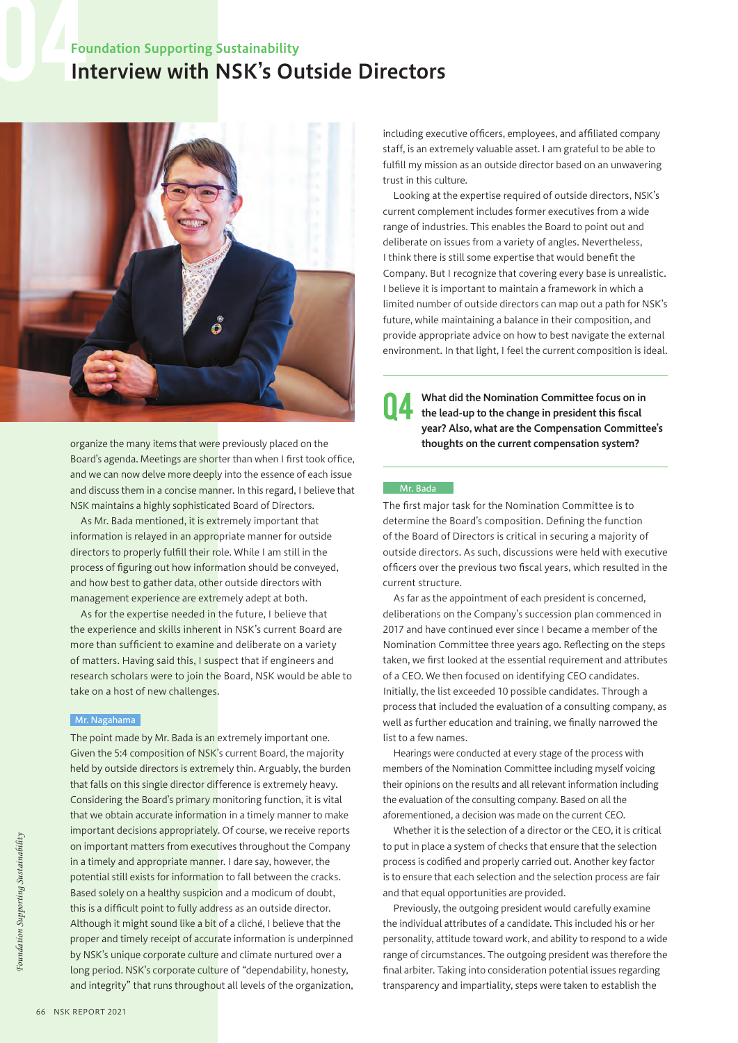## Interview with NSK's Outside Directors Foundation Supporting Sustainability



organize the many items that were previously placed on the Board's agenda. Meetings are shorter than when I first took office, and we can now delve more deeply into the essence of each issue and discuss them in a concise manner. In this regard, I believe that NSK maintains a highly sophisticated Board of Directors.

As Mr. Bada mentioned, it is extremely important that information is relayed in an appropriate manner for outside directors to properly fulfill their role. While I am still in the process of figuring out how information should be conveyed, and how best to gather data, other outside directors with management experience are extremely adept at both.

As for the expertise needed in the future, I believe that the experience and skills inherent in NSK's current Board are more than sufficient to examine and deliberate on a variety of matters. Having said this, I suspect that if engineers and research scholars were to join the Board, NSK would be able to take on a host of new challenges.

#### Mr. Nagahama

The point made by Mr. Bada is an extremely important one. Given the 5:4 composition of NSK's current Board, the majority held by outside directors is extremely thin. Arguably, the burden that falls on this single director difference is extremely heavy. Considering the Board's primary monitoring function, it is vital that we obtain accurate information in a timely manner to make important decisions appropriately. Of course, we receive reports on important matters from executives throughout the Company in a timely and appropriate manner. I dare say, however, the potential still exists for information to fall between the cracks. Based solely on a healthy suspicion and a modicum of doubt, this is a difficult point to fully address as an outside director. Although it might sound like a bit of a cliché, I believe that the proper and timely receipt of accurate information is underpinned by NSK's unique corporate culture and climate nurtured over a long period. NSK's corporate culture of "dependability, honesty, and integrity" that runs throughout all levels of the organization,

including executive officers, employees, and affiliated company staff, is an extremely valuable asset. I am grateful to be able to fulfill my mission as an outside director based on an unwavering trust in this culture.

Looking at the expertise required of outside directors, NSK's current complement includes former executives from a wide range of industries. This enables the Board to point out and deliberate on issues from a variety of angles. Nevertheless, I think there is still some expertise that would benefit the Company. But I recognize that covering every base is unrealistic. I believe it is important to maintain a framework in which a limited number of outside directors can map out a path for NSK's future, while maintaining a balance in their composition, and provide appropriate advice on how to best navigate the external environment. In that light, I feel the current composition is ideal.

What did the Nomination Committee focus on in the lead-up to the change in president this fiscal year? Also, what are the Compensation Committee's thoughts on the current compensation system? Q4

#### Mr. Bada

The first major task for the Nomination Committee is to determine the Board's composition. Defining the function of the Board of Directors is critical in securing a majority of outside directors. As such, discussions were held with executive officers over the previous two fiscal years, which resulted in the current structure.

As far as the appointment of each president is concerned, deliberations on the Company's succession plan commenced in 2017 and have continued ever since I became a member of the Nomination Committee three years ago. Reflecting on the steps taken, we first looked at the essential requirement and attributes of a CEO. We then focused on identifying CEO candidates. Initially, the list exceeded 10 possible candidates. Through a process that included the evaluation of a consulting company, as well as further education and training, we finally narrowed the list to a few names.

Hearings were conducted at every stage of the process with members of the Nomination Committee including myself voicing their opinions on the results and all relevant information including the evaluation of the consulting company. Based on all the aforementioned, a decision was made on the current CEO.

Whether it is the selection of a director or the CEO, it is critical to put in place a system of checks that ensure that the selection process is codified and properly carried out. Another key factor is to ensure that each selection and the selection process are fair and that equal opportunities are provided.

Previously, the outgoing president would carefully examine the individual attributes of a candidate. This included his or her personality, attitude toward work, and ability to respond to a wide range of circumstances. The outgoing president was therefore the final arbiter. Taking into consideration potential issues regarding transparency and impartiality, steps were taken to establish the